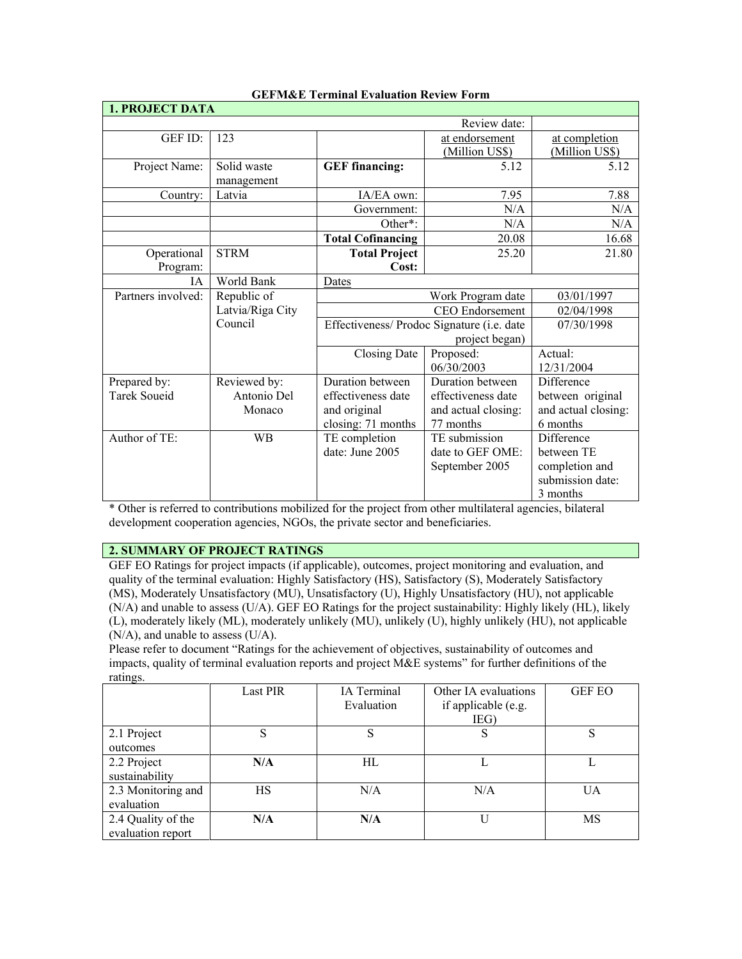| <b>1. PROJECT DATA</b> |                  |                                            |                        |                     |
|------------------------|------------------|--------------------------------------------|------------------------|---------------------|
|                        |                  |                                            | Review date:           |                     |
| GEF ID:                | 123              |                                            | at endorsement         | at completion       |
|                        |                  |                                            | (Million US\$)         | (Million US\$)      |
| Project Name:          | Solid waste      | <b>GEF</b> financing:                      | 5.12                   | 5.12                |
|                        | management       |                                            |                        |                     |
| Country:               | Latvia           | IA/EA own:                                 | 7.95                   | 7.88                |
|                        |                  | Government:                                | N/A                    | N/A                 |
|                        |                  | Other <sup>*</sup> :                       | N/A                    | N/A                 |
|                        |                  | <b>Total Cofinancing</b>                   | 20.08                  | 16.68               |
| Operational            | <b>STRM</b>      | <b>Total Project</b>                       | 25.20                  | 21.80               |
| Program:               |                  | Cost:                                      |                        |                     |
| IA                     | World Bank       | Dates                                      |                        |                     |
| Partners involved:     | Republic of      |                                            | Work Program date      | 03/01/1997          |
|                        | Latvia/Riga City |                                            | <b>CEO</b> Endorsement | 02/04/1998          |
|                        | Council          | Effectiveness/ Prodoc Signature (i.e. date |                        | 07/30/1998          |
|                        |                  | project began)                             |                        |                     |
|                        |                  | Closing Date                               | Proposed:              | Actual:             |
|                        |                  |                                            | 06/30/2003             | 12/31/2004          |
| Prepared by:           | Reviewed by:     | Duration between                           | Duration between       | Difference          |
| <b>Tarek Soueid</b>    | Antonio Del      | effectiveness date                         | effectiveness date     | between original    |
|                        | Monaco           | and original                               | and actual closing:    | and actual closing: |
|                        |                  | closing: 71 months                         | 77 months              | 6 months            |
| Author of TE:          | <b>WB</b>        | TE completion                              | TE submission          | Difference          |
|                        |                  | date: June 2005                            | date to GEF OME:       | between TE          |
|                        |                  |                                            | September 2005         | completion and      |
|                        |                  |                                            |                        | submission date:    |
|                        |                  |                                            |                        | 3 months            |

## **GEFM&E Terminal Evaluation Review Form**

\* Other is referred to contributions mobilized for the project from other multilateral agencies, bilateral development cooperation agencies, NGOs, the private sector and beneficiaries.

## **2. SUMMARY OF PROJECT RATINGS**

GEF EO Ratings for project impacts (if applicable), outcomes, project monitoring and evaluation, and quality of the terminal evaluation: Highly Satisfactory (HS), Satisfactory (S), Moderately Satisfactory (MS), Moderately Unsatisfactory (MU), Unsatisfactory (U), Highly Unsatisfactory (HU), not applicable (N/A) and unable to assess (U/A). GEF EO Ratings for the project sustainability: Highly likely (HL), likely (L), moderately likely (ML), moderately unlikely (MU), unlikely (U), highly unlikely (HU), not applicable (N/A), and unable to assess (U/A).

Please refer to document "Ratings for the achievement of objectives, sustainability of outcomes and impacts, quality of terminal evaluation reports and project M&E systems" for further definitions of the ratings.

|                                         | <b>Last PIR</b> | IA Terminal<br>Evaluation | Other IA evaluations<br>if applicable (e.g.<br>IEG) | <b>GEF EO</b> |
|-----------------------------------------|-----------------|---------------------------|-----------------------------------------------------|---------------|
| 2.1 Project<br>outcomes                 | S               |                           | S                                                   | S             |
| 2.2 Project<br>sustainability           | N/A             | HL                        |                                                     |               |
| 2.3 Monitoring and<br>evaluation        | HS              | N/A                       | N/A                                                 | UA            |
| 2.4 Quality of the<br>evaluation report | N/A             | N/A                       | U                                                   | MS            |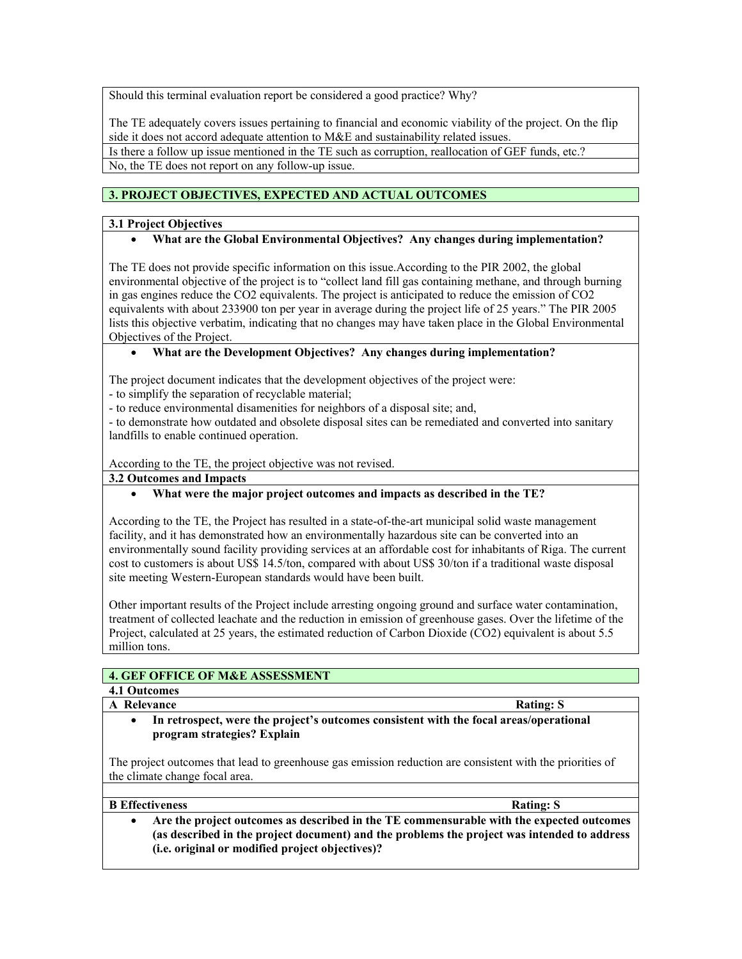Should this terminal evaluation report be considered a good practice? Why?

The TE adequately covers issues pertaining to financial and economic viability of the project. On the flip side it does not accord adequate attention to M&E and sustainability related issues. Is there a follow up issue mentioned in the TE such as corruption, reallocation of GEF funds, etc.? No, the TE does not report on any follow-up issue.

# **3. PROJECT OBJECTIVES, EXPECTED AND ACTUAL OUTCOMES**

## **3.1 Project Objectives**

## • **What are the Global Environmental Objectives? Any changes during implementation?**

The TE does not provide specific information on this issue.According to the PIR 2002, the global environmental objective of the project is to "collect land fill gas containing methane, and through burning in gas engines reduce the CO2 equivalents. The project is anticipated to reduce the emission of CO2 equivalents with about 233900 ton per year in average during the project life of 25 years." The PIR 2005 lists this objective verbatim, indicating that no changes may have taken place in the Global Environmental Objectives of the Project.

## • **What are the Development Objectives? Any changes during implementation?**

The project document indicates that the development objectives of the project were:

- to simplify the separation of recyclable material;

- to reduce environmental disamenities for neighbors of a disposal site; and,

- to demonstrate how outdated and obsolete disposal sites can be remediated and converted into sanitary landfills to enable continued operation.

According to the TE, the project objective was not revised.

**3.2 Outcomes and Impacts**

## • **What were the major project outcomes and impacts as described in the TE?**

According to the TE, the Project has resulted in a state-of-the-art municipal solid waste management facility, and it has demonstrated how an environmentally hazardous site can be converted into an environmentally sound facility providing services at an affordable cost for inhabitants of Riga. The current cost to customers is about US\$ 14.5/ton, compared with about US\$ 30/ton if a traditional waste disposal site meeting Western-European standards would have been built.

Other important results of the Project include arresting ongoing ground and surface water contamination, treatment of collected leachate and the reduction in emission of greenhouse gases. Over the lifetime of the Project, calculated at 25 years, the estimated reduction of Carbon Dioxide (CO2) equivalent is about 5.5 million tons.

## **4. GEF OFFICE OF M&E ASSESSMENT**

# **4.1 Outcomes**

- **A** Relevance Rating: S
	- **In retrospect, were the project's outcomes consistent with the focal areas/operational program strategies? Explain**

The project outcomes that lead to greenhouse gas emission reduction are consistent with the priorities of the climate change focal area.

| <b>B</b> Effectiveness | <b>Rating: S</b> |
|------------------------|------------------|
|------------------------|------------------|

• **Are the project outcomes as described in the TE commensurable with the expected outcomes (as described in the project document) and the problems the project was intended to address (i.e. original or modified project objectives)?**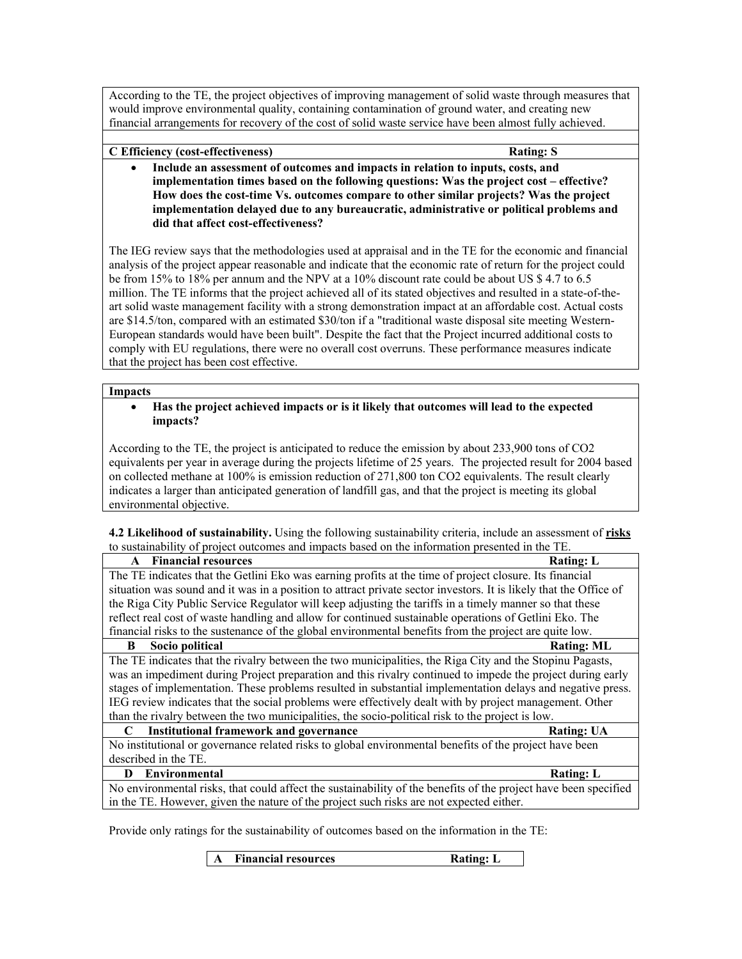According to the TE, the project objectives of improving management of solid waste through measures that would improve environmental quality, containing contamination of ground water, and creating new financial arrangements for recovery of the cost of solid waste service have been almost fully achieved.

**C Efficiency (cost-effectiveness) Rating: S**

• **Include an assessment of outcomes and impacts in relation to inputs, costs, and implementation times based on the following questions: Was the project cost – effective? How does the cost-time Vs. outcomes compare to other similar projects? Was the project implementation delayed due to any bureaucratic, administrative or political problems and did that affect cost-effectiveness?**

The IEG review says that the methodologies used at appraisal and in the TE for the economic and financial analysis of the project appear reasonable and indicate that the economic rate of return for the project could be from 15% to 18% per annum and the NPV at a 10% discount rate could be about US \$ 4.7 to 6.5 million. The TE informs that the project achieved all of its stated objectives and resulted in a state-of-theart solid waste management facility with a strong demonstration impact at an affordable cost. Actual costs are \$14.5/ton, compared with an estimated \$30/ton if a "traditional waste disposal site meeting Western-European standards would have been built". Despite the fact that the Project incurred additional costs to comply with EU regulations, there were no overall cost overruns. These performance measures indicate that the project has been cost effective.

## **Impacts**

• **Has the project achieved impacts or is it likely that outcomes will lead to the expected impacts?**

According to the TE, the project is anticipated to reduce the emission by about 233,900 tons of CO2 equivalents per year in average during the projects lifetime of 25 years. The projected result for 2004 based on collected methane at 100% is emission reduction of 271,800 ton CO2 equivalents. The result clearly indicates a larger than anticipated generation of landfill gas, and that the project is meeting its global environmental objective.

**4.2 Likelihood of sustainability.** Using the following sustainability criteria, include an assessment of **risks** to sustainability of project outcomes and impacts based on the information presented in the TE.

| <b>Financial resources</b><br><b>Rating: L</b><br>$\mathbf{A}$                                                    |  |
|-------------------------------------------------------------------------------------------------------------------|--|
| The TE indicates that the Getlini Eko was earning profits at the time of project closure. Its financial           |  |
| situation was sound and it was in a position to attract private sector investors. It is likely that the Office of |  |
| the Riga City Public Service Regulator will keep adjusting the tariffs in a timely manner so that these           |  |
| reflect real cost of waste handling and allow for continued sustainable operations of Getlini Eko. The            |  |
| financial risks to the sustenance of the global environmental benefits from the project are quite low.            |  |
| Socio political<br><b>Rating: ML</b><br>B                                                                         |  |
| The TE indicates that the rivalry between the two municipalities, the Riga City and the Stopinu Pagasts,          |  |
| was an impediment during Project preparation and this rivalry continued to impede the project during early        |  |
| stages of implementation. These problems resulted in substantial implementation delays and negative press.        |  |
| IEG review indicates that the social problems were effectively dealt with by project management. Other            |  |
| than the rivalry between the two municipalities, the socio-political risk to the project is low.                  |  |
| <b>Institutional framework and governance</b><br><b>Rating: UA</b><br>C                                           |  |
| No institutional or governance related risks to global environmental benefits of the project have been            |  |
| described in the TE.                                                                                              |  |
| <b>Environmental</b><br><b>Rating: L</b><br>D                                                                     |  |
| No environmental risks, that could affect the sustainability of the benefits of the project have been specified   |  |
| in the TE. However, given the nature of the project such risks are not expected either.                           |  |

Provide only ratings for the sustainability of outcomes based on the information in the TE:

**A Financial resources Rating: L**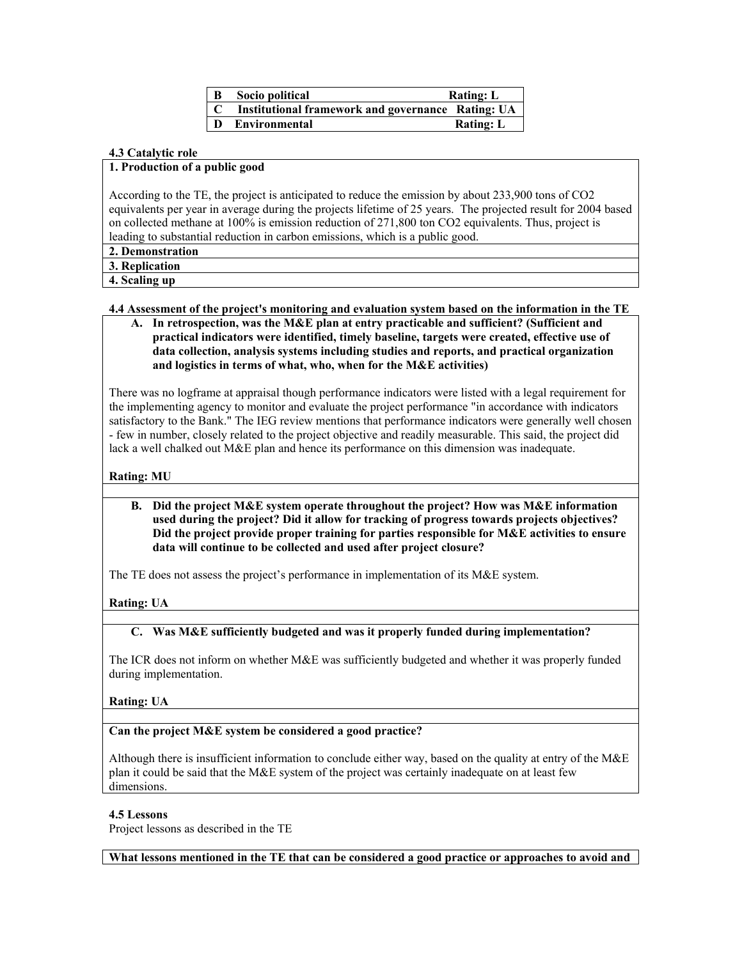| $\mathbf{B}$ | Socio political                                   | <b>Rating: L</b> |
|--------------|---------------------------------------------------|------------------|
| C            | Institutional framework and governance Rating: UA |                  |
| D            | <b>Environmental</b>                              | <b>Rating: L</b> |

## **4.3 Catalytic role**

#### **1. Production of a public good**

According to the TE, the project is anticipated to reduce the emission by about 233,900 tons of CO2 equivalents per year in average during the projects lifetime of 25 years. The projected result for 2004 based on collected methane at 100% is emission reduction of 271,800 ton CO2 equivalents. Thus, project is leading to substantial reduction in carbon emissions, which is a public good.

**2. Demonstration** 

**3. Replication** 

**4. Scaling up** 

#### **4.4 Assessment of the project's monitoring and evaluation system based on the information in the TE**

**A. In retrospection, was the M&E plan at entry practicable and sufficient? (Sufficient and practical indicators were identified, timely baseline, targets were created, effective use of data collection, analysis systems including studies and reports, and practical organization and logistics in terms of what, who, when for the M&E activities)** 

There was no logframe at appraisal though performance indicators were listed with a legal requirement for the implementing agency to monitor and evaluate the project performance "in accordance with indicators satisfactory to the Bank." The IEG review mentions that performance indicators were generally well chosen - few in number, closely related to the project objective and readily measurable. This said, the project did lack a well chalked out M&E plan and hence its performance on this dimension was inadequate.

### **Rating: MU**

**B. Did the project M&E system operate throughout the project? How was M&E information used during the project? Did it allow for tracking of progress towards projects objectives? Did the project provide proper training for parties responsible for M&E activities to ensure data will continue to be collected and used after project closure?** 

The TE does not assess the project's performance in implementation of its M&E system.

## **Rating: UA**

## **C. Was M&E sufficiently budgeted and was it properly funded during implementation?**

The ICR does not inform on whether M&E was sufficiently budgeted and whether it was properly funded during implementation.

#### **Rating: UA**

## **Can the project M&E system be considered a good practice?**

Although there is insufficient information to conclude either way, based on the quality at entry of the M&E plan it could be said that the M&E system of the project was certainly inadequate on at least few dimensions.

#### **4.5 Lessons**

Project lessons as described in the TE

**What lessons mentioned in the TE that can be considered a good practice or approaches to avoid and**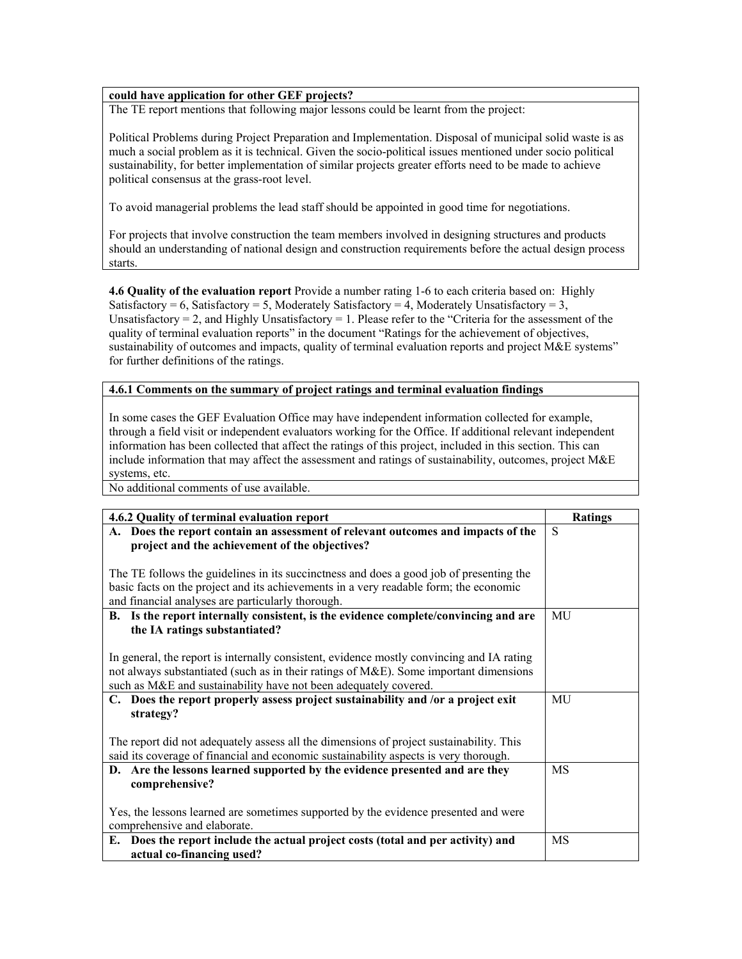## **could have application for other GEF projects?**

The TE report mentions that following major lessons could be learnt from the project:

Political Problems during Project Preparation and Implementation. Disposal of municipal solid waste is as much a social problem as it is technical. Given the socio-political issues mentioned under socio political sustainability, for better implementation of similar projects greater efforts need to be made to achieve political consensus at the grass-root level.

To avoid managerial problems the lead staff should be appointed in good time for negotiations.

For projects that involve construction the team members involved in designing structures and products should an understanding of national design and construction requirements before the actual design process starts.

**4.6 Quality of the evaluation report** Provide a number rating 1-6 to each criteria based on: Highly Satisfactory = 6, Satisfactory = 5, Moderately Satisfactory = 4, Moderately Unsatisfactory = 3, Unsatisfactory = 2, and Highly Unsatisfactory = 1. Please refer to the "Criteria for the assessment of the quality of terminal evaluation reports" in the document "Ratings for the achievement of objectives, sustainability of outcomes and impacts, quality of terminal evaluation reports and project M&E systems" for further definitions of the ratings.

## **4.6.1 Comments on the summary of project ratings and terminal evaluation findings**

In some cases the GEF Evaluation Office may have independent information collected for example, through a field visit or independent evaluators working for the Office. If additional relevant independent information has been collected that affect the ratings of this project, included in this section. This can include information that may affect the assessment and ratings of sustainability, outcomes, project M&E systems, etc.

No additional comments of use available.

| 4.6.2 Quality of terminal evaluation report                                                                                                                                                                                                            | <b>Ratings</b> |
|--------------------------------------------------------------------------------------------------------------------------------------------------------------------------------------------------------------------------------------------------------|----------------|
| A. Does the report contain an assessment of relevant outcomes and impacts of the<br>project and the achievement of the objectives?                                                                                                                     | S              |
| The TE follows the guidelines in its succinctness and does a good job of presenting the<br>basic facts on the project and its achievements in a very readable form; the economic<br>and financial analyses are particularly thorough.                  |                |
| B. Is the report internally consistent, is the evidence complete/convincing and are<br>the IA ratings substantiated?                                                                                                                                   | MU             |
| In general, the report is internally consistent, evidence mostly convincing and IA rating<br>not always substantiated (such as in their ratings of M&E). Some important dimensions<br>such as M&E and sustainability have not been adequately covered. |                |
| C. Does the report properly assess project sustainability and /or a project exit<br>strategy?                                                                                                                                                          | MU             |
| The report did not adequately assess all the dimensions of project sustainability. This<br>said its coverage of financial and economic sustainability aspects is very thorough.                                                                        |                |
| D. Are the lessons learned supported by the evidence presented and are they<br>comprehensive?                                                                                                                                                          | MS             |
| Yes, the lessons learned are sometimes supported by the evidence presented and were<br>comprehensive and elaborate.                                                                                                                                    |                |
| E. Does the report include the actual project costs (total and per activity) and<br>actual co-financing used?                                                                                                                                          | MS             |